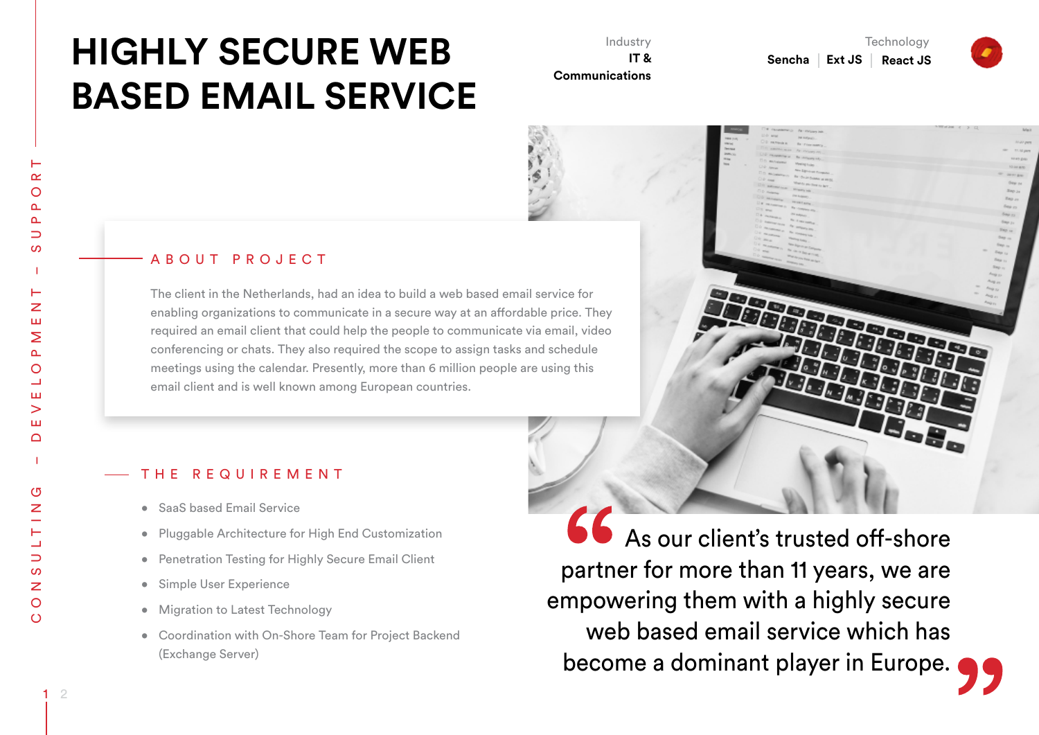# **HIGHLY SECURE WEB BASED EMAIL SERVICE**

Industry **IT & Communications** 

**Technology** Sencha | Ext JS | React JS

# A B O U T P R O J E C T

The client in the Netherlands, had an idea to build a web based email service for enabling organizations to communicate in a secure way at an affordable price. They required an email client that could help the people to communicate via email, video conferencing or chats. They also required the scope to assign tasks and schedule meetings using the calendar. Presently, more than 6 million people are using this email client and is well known among European countries.

#### THE REQUIREMENT

- SaaS based Email Service
- • Pluggable Architecture for High End Customization
- Penetration Testing for Highly Secure Email Client
- • Simple User Experience
- Migration to Latest Technology
- • Coordination with On-Shore Team for Project Backend (Exchange Server)

66 As our client's trusted off-shore partner for more than 11 years, we are empowering them with a highly secure web based email service which has become a dominant player in Europe.